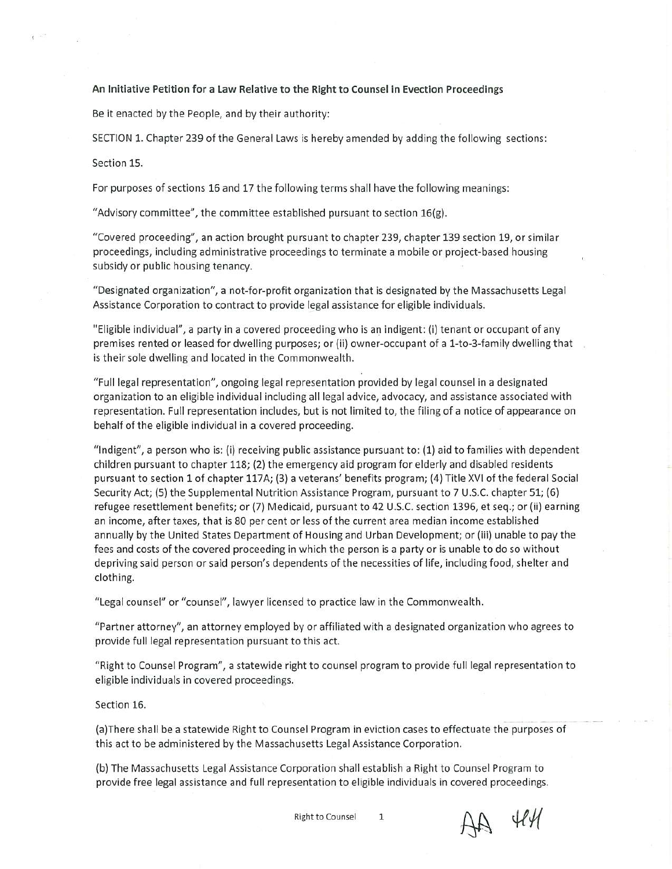## **An Initiative Petition for a Law Relative to the Right to Counsel in Evection Proceedings**

Be it enacted by the People, and by their authority:

SECTION 1. Chapter 239 of the General Laws is hereby amended by adding the following sections:

Section 15.

 $\epsilon$  .

For purposes of sections 16 and 17 the following terms shall have the following meanings:

"Advisory committee", the committee established pursuant to section 16(g).

"Covered proceeding", an action brought pursuant to chapter 239, chapter 139 section 19, or similar proceedings, including administrative proceedings to terminate <sup>a</sup> mobile or project-based housing subsidy or public housing tenancy.

"Designated organization", <sup>a</sup> not-for-profit organization that is designated by the Massachusetts Legal Assistance Corporation to contract to provide legal assistance for eligible individuals.

"Eligible individual", <sup>a</sup> party in <sup>a</sup> covered proceeding who is an indigent: (i) tenant or occupant of any premises rented or leased for dwelling purposes; or (ii) owner-occupant of <sup>a</sup> l-to-3-family dwelling that is their sole dwelling and located in the Commonwealth.

"Full legal representation", ongoing legal representation provided by legal counsel in <sup>a</sup> designated organization to an eligible individual including all legal advice, advocacy, and assistance associated with representation. Full representation includes, but is not limited to, the filing of <sup>a</sup> notice of appearance on behalf of the eligible individual in <sup>a</sup> covered proceeding.

"Indigent", <sup>a</sup> person who is: (i) receiving public assistance pursuant to: (1) aid to families with dependent children pursuant to chapter 118; (2) the emergency aid program for elderly and disabled residents pursuant to section 1 of chapter 117A; (3) <sup>a</sup> veterans' benefits program; (4) Title XVI of the federal Social Security Act; (5) the Supplemental Nutrition Assistance Program, pursuant to 7 U.S.C. chapter 51; (6) refugee resettlement benefits; or (7) Medicaid, pursuant to 42 U.S.C. section 1396, et seq.; or (ii) earning an income, after taxes, that is 80 per cent or less of the current area median income established annually by the United States Department of Housing and Urban Development; or (iii) unable to pay the fees and costs of the covered proceeding in which the person is <sup>a</sup> party or is unable to do so without depriving said person or said person's dependents of the necessities of life, including food, shelter and clothing.

"Legal counsel" or "counsel", lawyer licensed to practice law in the Commonwealth.

"Partner attorney", an attorney employed by or affiliated with <sup>a</sup> designated organization who agrees to provide full legal representation pursuant to this act.

"Right to Counsel Program", <sup>a</sup> statewide right to counsel program to provide full legal representation to eligible individuals in covered proceedings.

Section 16.

(a) There shall be <sup>a</sup> statewide Right to Counsel Program in eviction cases to effectuate the purposes of this act to be administered by the Massachusetts Legal Assistance Corporation.

(b) The Massachusetts Legal Assistance Corporation shall establish <sup>a</sup> Right to Counsel Program to provide free legal assistance and full representation to eligible individuals in covered proceedings.

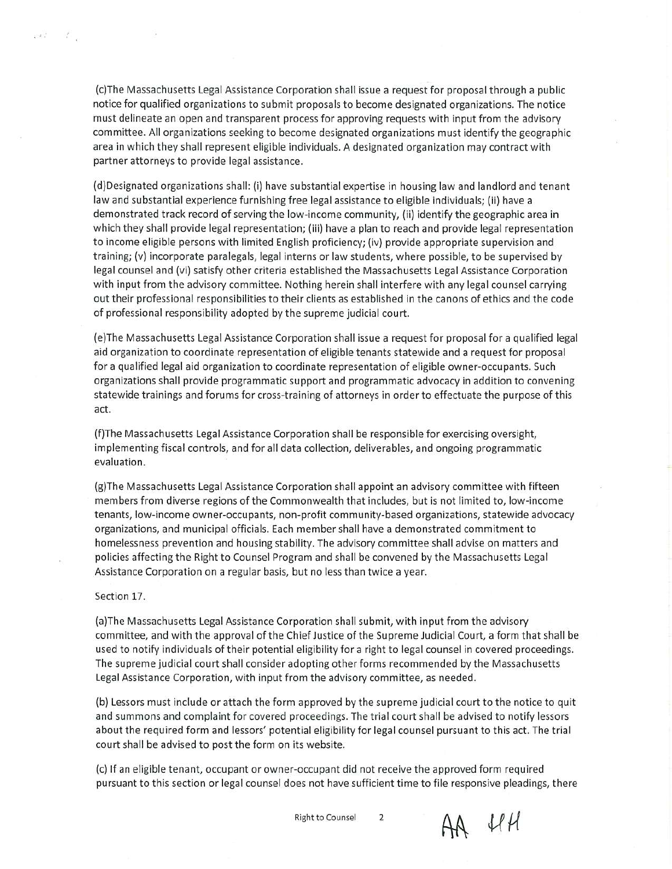(c) The Massachusetts Legal Assistance Corporation shall issue <sup>a</sup> request for proposal through <sup>a</sup> public notice for qualified organizations to submit proposals to become designated organizations. The notice must delineate an open and transparent process for approving requests with input from the advisory committee. All organizations seeking to become designated organizations must identify the geographic area in which they shall represent eligible individuals. A designated organization may contract with partner attorneys to provide legal assistance.

(d) Designated organizations shall: (i) have substantial expertise in housing law and landlord and tenant law and substantial experience furnishing free legal assistance to eligible individuals; (ii) have <sup>a</sup> demonstrated track record of serving the low-income community, (ii) identify the geographic area in which they shall provide legal representation; (iii) have <sup>a</sup> plan to reach and provide legal representation to income eligible persons with limited English proficiency; (iv) provide appropriate supervision and training; (v) incorporate paralegals, legal interns or law students, where possible, to be supervised by legal counsel and (vi) satisfy other criteria established the Massachusetts Legal Assistance Corporation with input from the advisory committee. Nothing herein shall interfere with any legal counsel carrying out their professional responsibilities to their clients as established in the canons of ethics and the code of professional responsibility adopted by the supreme judicial court.

(e) The Massachusetts Legal Assistance Corporation shall issue <sup>a</sup> request for proposal for <sup>a</sup> qualified legal aid organization to coordinate representation of eligible tenants statewide and <sup>a</sup> request for proposal for <sup>a</sup> qualified legal aid organization to coordinate representation of eligible owner-occupants. Such organizations shall provide programmatic support and programmatic advocacy in addition to convening statewide trainings and forums for cross-training of attorneys in order to effectuate the purpose of this act.

(f) The Massachusetts Legal Assistance Corporation shall be responsible for exercising oversight, implementing fiscal controls, and for all data collection, deliverables, and ongoing programmatic evaluation.

(g) The Massachusetts Legal Assistance Corporation shall appoint an advisory committee with fifteen members from diverse regions of the Commonwealth that includes, but is not limited to, low-income tenants, low-income owner-occupants, non-profit community-based organizations, statewide advocacy organizations, and municipal officials. Each member shall have <sup>a</sup> demonstrated commitment to homelessness prevention and housing stability. The advisory committee shall advise on matters and policies affecting the Right to Counsel Program and shall be convened by the Massachusetts Legal Assistance Corporation on <sup>a</sup> regular basis, but no less than twice a year.

## Section 17.

 $227 - 11$ 

8

(a) The Massachusetts Legal Assistance Corporation shall submit, with input from the advisory committee, and with the approval of the Chief Justice of the Supreme Judicial Court, <sup>a</sup> form that shall be used to notify individuals of their potential eligibility for a right to legal counsel in covered proceedings. The supreme judicial court shall consider adopting other forms recommended by the Massachusetts Legal Assistance Corporation, with input from the advisory committee, as needed.

(b) Lessors must include or attach the form approved by the supreme judicial court to the notice to quit and summons and complaint for covered proceedings. The trial court shall be advised to notify lessors about the required form and lessors' potential eligibility for legal counsel pursuant to this act. The trial court shall be advised to post the form on its website.

(c) If an eligible tenant, occupant or owner-occupant did not receive the approved form required pursuant to this section or legal counsel does not have sufficient time to file responsive pleadings, there